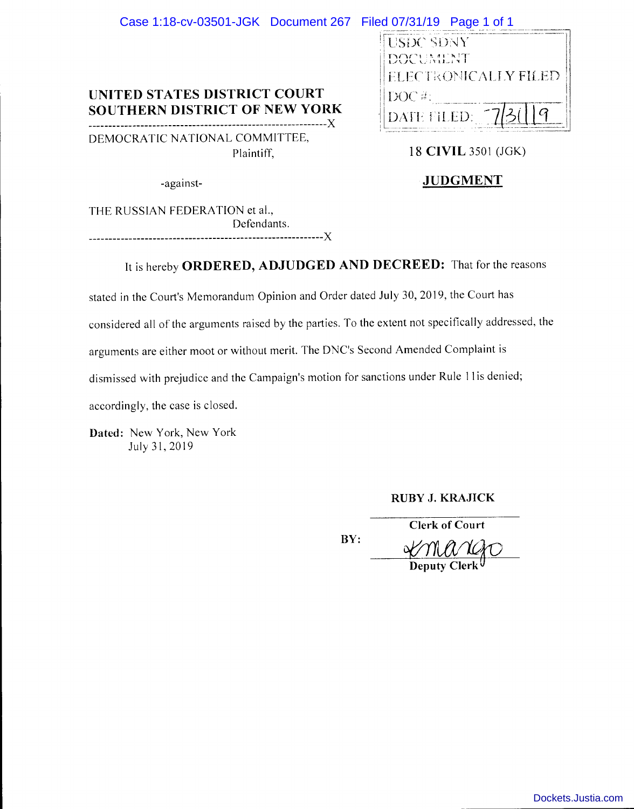| Case 1:18-cv-03501-JGK Document 267 Filed 07/31/19 Page 1 of 1 |                                                                                   |
|----------------------------------------------------------------|-----------------------------------------------------------------------------------|
| UNITED STATES DISTRICT COURT<br>SOUTHERN DISTRICT OF NEW YORK  | <b>USDC SDNY</b><br>DOCUMENT<br>ELECTRONICALIY FILED<br>$DOC \#$ :<br>DATE FILED: |
| DEMOCRATIC NATIONAL COMMITTEE,<br>Plaintiff,                   | 18 CIVIL 3501 (JGK)                                                               |
| -against-                                                      | <b>JUDGMENT</b>                                                                   |

THE RUSSIAN FEDERATION et al., Defendants. -----------------------------------------------------------)(

# It is hereby **ORDERED, ADJUDGED AND DECREED:** That for the reasons

stated in the Court's Memorandum Opinion and Order dated July 30, 2019, the Court has

considered all of the arguments raised by the parties. To the extent not specifically addressed, the

arguments are either moot or without merit. The DNC's Second Amended Complaint is

dismissed with prejudice and the Campaign's motion for sanctions under Rule 11 is denied;

accordingly, the case is closed.

**Dated:** New York, New York July 31, 2019

**RUBY J. KRAJICK** 

<u> SCIMANAD</u> **Deputy Clerk** 

**Clerk of Court** 

**BY:** 

[Dockets.Justia.com](https://dockets.justia.com/)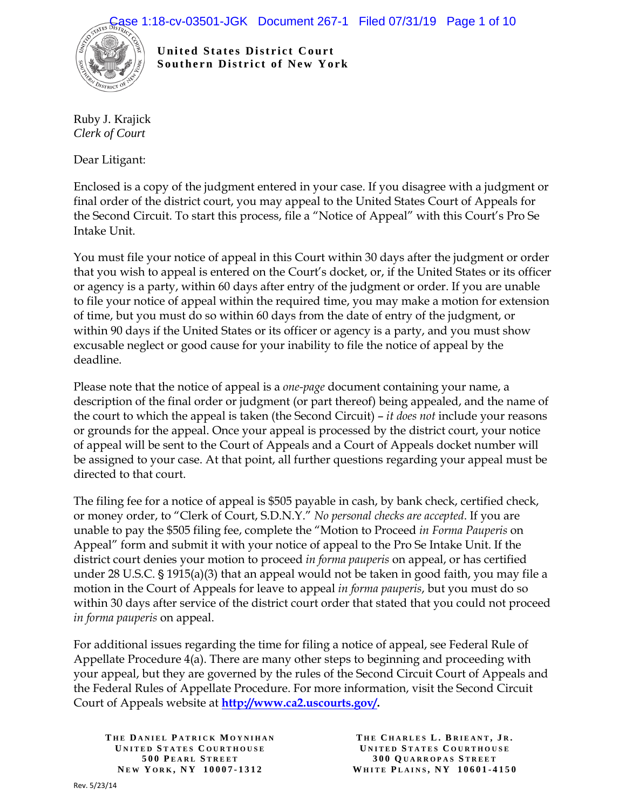

**United States District Court Southern District of New York** 

Ruby J. Krajick *Clerk of Court*

Dear Litigant:

Enclosed is a copy of the judgment entered in your case. If you disagree with a judgment or final order of the district court, you may appeal to the United States Court of Appeals for the Second Circuit. To start this process, file a "Notice of Appeal" with this Court's Pro Se Intake Unit.

You must file your notice of appeal in this Court within 30 days after the judgment or order that you wish to appeal is entered on the Court's docket, or, if the United States or its officer or agency is a party, within 60 days after entry of the judgment or order. If you are unable to file your notice of appeal within the required time, you may make a motion for extension of time, but you must do so within 60 days from the date of entry of the judgment, or within 90 days if the United States or its officer or agency is a party, and you must show excusable neglect or good cause for your inability to file the notice of appeal by the deadline.

Please note that the notice of appeal is a *one-page* document containing your name, a description of the final order or judgment (or part thereof) being appealed, and the name of the court to which the appeal is taken (the Second Circuit) – *it does not* include your reasons or grounds for the appeal. Once your appeal is processed by the district court, your notice of appeal will be sent to the Court of Appeals and a Court of Appeals docket number will be assigned to your case. At that point, all further questions regarding your appeal must be directed to that court.

The filing fee for a notice of appeal is \$505 payable in cash, by bank check, certified check, or money order, to "Clerk of Court, S.D.N.Y." *No personal checks are accepted*. If you are unable to pay the \$505 filing fee, complete the "Motion to Proceed *in Forma Pauperis* on Appeal" form and submit it with your notice of appeal to the Pro Se Intake Unit. If the district court denies your motion to proceed *in forma pauperis* on appeal, or has certified under 28 U.S.C.  $\S 1915(a)(3)$  that an appeal would not be taken in good faith, you may file a motion in the Court of Appeals for leave to appeal *in forma pauperis*, but you must do so within 30 days after service of the district court order that stated that you could not proceed *in forma pauperis* on appeal.

For additional issues regarding the time for filing a notice of appeal, see Federal Rule of Appellate Procedure 4(a). There are many other steps to beginning and proceeding with your appeal, but they are governed by the rules of the Second Circuit Court of Appeals and the Federal Rules of Appellate Procedure. For more information, visit the Second Circuit Court of Appeals website at **[http://www.ca2.uscourts.gov/.](http://www.ca2.uscourts.gov/)**

**T HE D ANIEL P ATRICK M OYNIHAN U NITED S TATES C OURTHOUSE 500 P EARL S TREET N EW Y ORK , N Y 10007 - 1312**

**T HE C HARLES L . B RIEANT , J R . U NITED S TATES C OURTHOUSE 300 Q UARROPAS S TREET WHITE P LAINS , N Y 10601 - 4150**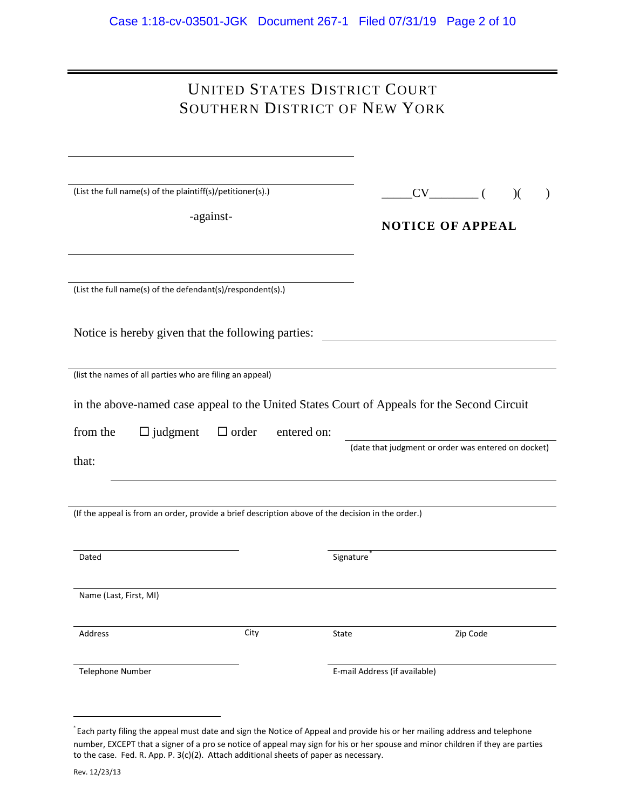| UNITED STATES DISTRICT COURT         |  |
|--------------------------------------|--|
| <b>SOUTHERN DISTRICT OF NEW YORK</b> |  |

| (List the full name(s) of the plaintiff(s)/petitioner(s).)<br>-against-                           |      |             | $CV$ ( )(<br><b>NOTICE OF APPEAL</b> |                                                     | $\lambda$ |  |
|---------------------------------------------------------------------------------------------------|------|-------------|--------------------------------------|-----------------------------------------------------|-----------|--|
| (List the full name(s) of the defendant(s)/respondent(s).)                                        |      |             |                                      |                                                     |           |  |
| Notice is hereby given that the following parties:                                                |      |             |                                      |                                                     |           |  |
| (list the names of all parties who are filing an appeal)                                          |      |             |                                      |                                                     |           |  |
| in the above-named case appeal to the United States Court of Appeals for the Second Circuit       |      |             |                                      |                                                     |           |  |
| from the<br>$\Box$ judgment $\Box$ order<br>that:                                                 |      | entered on: |                                      | (date that judgment or order was entered on docket) |           |  |
| (If the appeal is from an order, provide a brief description above of the decision in the order.) |      |             |                                      |                                                     |           |  |
| Dated                                                                                             |      |             | Signature                            |                                                     |           |  |
| Name (Last, First, MI)                                                                            |      |             |                                      |                                                     |           |  |
| Address                                                                                           | City |             | State                                |                                                     | Zip Code  |  |
| Telephone Number                                                                                  |      |             |                                      | E-mail Address (if available)                       |           |  |

<span id="page-2-0"></span> <sup>\*</sup> Each party filing the appeal must date and sign the Notice of Appeal and provide his or her mailing address and telephone number, EXCEPT that a signer of a pro se notice of appeal may sign for his or her spouse and minor children if they are parties to the case. Fed. R. App. P. 3(c)(2). Attach additional sheets of paper as necessary.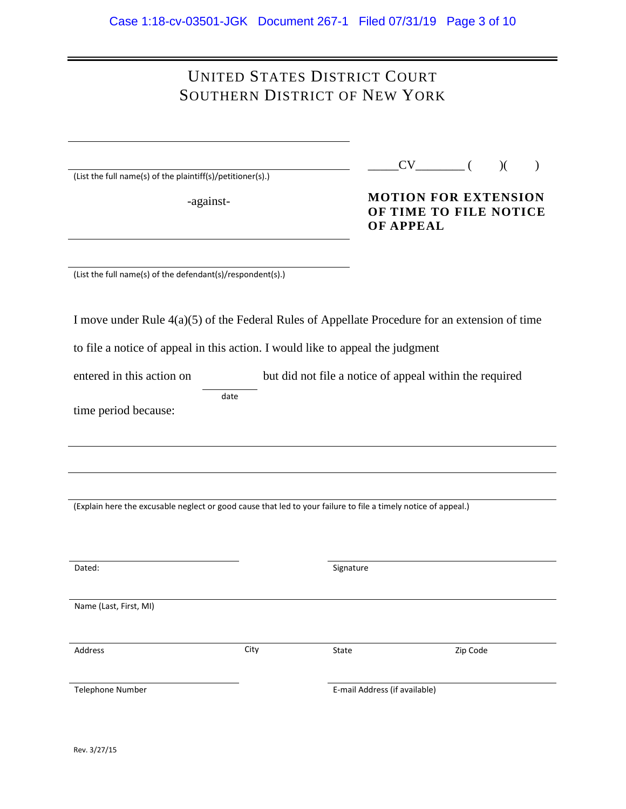## UNITED STATES DISTRICT COURT SOUTHERN DISTRICT OF NEW YORK

|  |  | (List the full name(s) of the plaintiff(s)/petitioner(s).) |
|--|--|------------------------------------------------------------|
|  |  |                                                            |

-against-

**MOTION FOR EXTENSION OF TIME TO FILE NOTICE OF APPEAL**

(List the full name(s) of the defendant(s)/respondent(s).)

| I move under Rule $4(a)(5)$ of the Federal Rules of Appellate Procedure for an extension of time |  |  |
|--------------------------------------------------------------------------------------------------|--|--|
|--------------------------------------------------------------------------------------------------|--|--|

to file a notice of appeal in this action. I would like to appeal the judgment

entered in this action on but did not file a notice of appeal within the required date

time period because:

(Explain here the excusable neglect or good cause that led to your failure to file a timely notice of appeal.)

| State                         | Zip Code          |
|-------------------------------|-------------------|
|                               |                   |
|                               |                   |
|                               |                   |
|                               |                   |
|                               |                   |
| E-mail Address (if available) |                   |
|                               | Signature<br>City |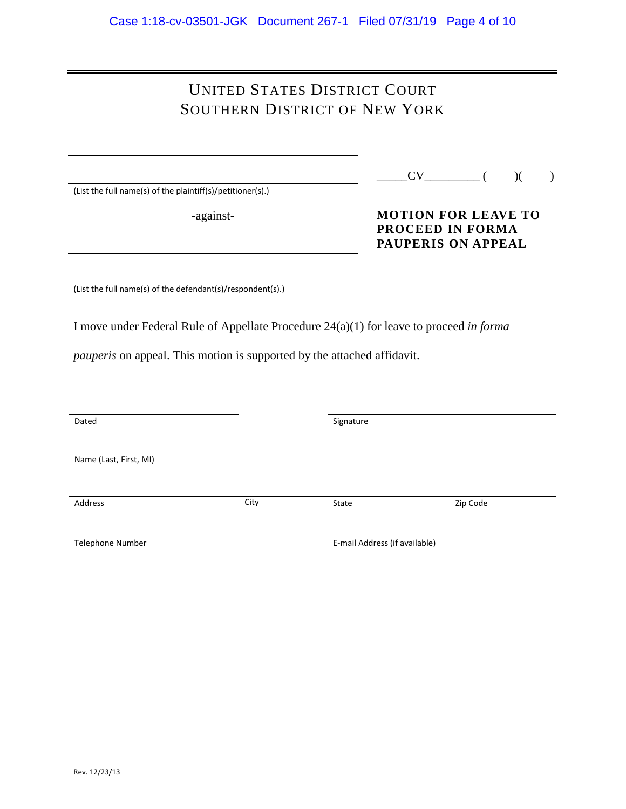# UNITED STATES DISTRICT COURT SOUTHERN DISTRICT OF NEW YORK

(List the full name(s) of the plaintiff(s)/petitioner(s).)

-against-

### **MOTION FOR LEAVE TO PROCEED IN FORMA PAUPERIS ON APPEAL**

(List the full name(s) of the defendant(s)/respondent(s).)

I move under Federal Rule of Appellate Procedure 24(a)(1) for leave to proceed *in forma* 

*pauperis* on appeal. This motion is supported by the attached affidavit.

| Dated                  |      | Signature                     |          |
|------------------------|------|-------------------------------|----------|
| Name (Last, First, MI) |      |                               |          |
| Address                | City | State                         | Zip Code |
| Telephone Number       |      | E-mail Address (if available) |          |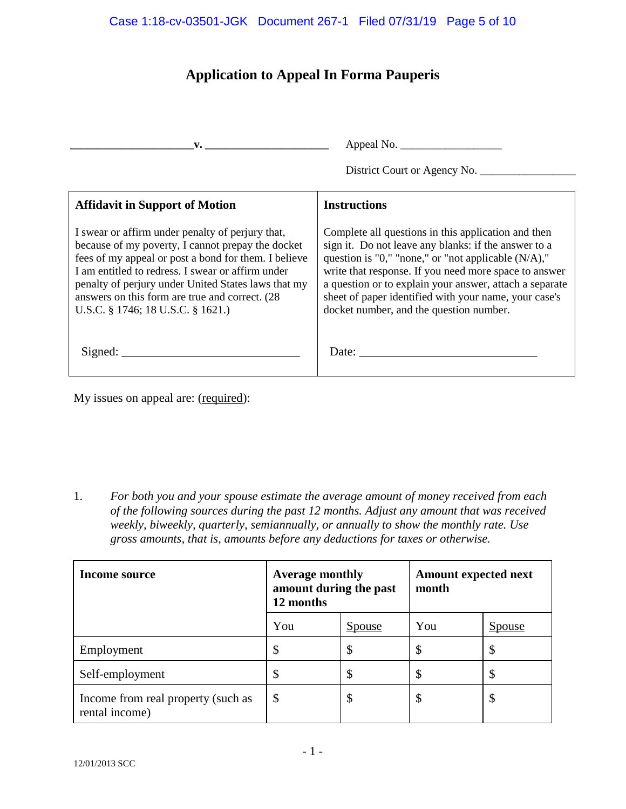#### Case 1:18-cv-03501-JGK Document 267-1 Filed 07/31/19 Page 5 of 10

## **Application to Appeal In Forma Pauperis**

| $\mathbf{V}$ .                                                                                                                                                                                                                                                                                                                                                    |                                                                                                                                                                                                                                                                                                                                                                                                               |
|-------------------------------------------------------------------------------------------------------------------------------------------------------------------------------------------------------------------------------------------------------------------------------------------------------------------------------------------------------------------|---------------------------------------------------------------------------------------------------------------------------------------------------------------------------------------------------------------------------------------------------------------------------------------------------------------------------------------------------------------------------------------------------------------|
|                                                                                                                                                                                                                                                                                                                                                                   | District Court or Agency No.                                                                                                                                                                                                                                                                                                                                                                                  |
| <b>Affidavit in Support of Motion</b>                                                                                                                                                                                                                                                                                                                             | <b>Instructions</b>                                                                                                                                                                                                                                                                                                                                                                                           |
| I swear or affirm under penalty of perjury that,<br>because of my poverty, I cannot prepay the docket<br>fees of my appeal or post a bond for them. I believe<br>I am entitled to redress. I swear or affirm under<br>penalty of perjury under United States laws that my<br>answers on this form are true and correct. (28)<br>U.S.C. § 1746; 18 U.S.C. § 1621.) | Complete all questions in this application and then<br>sign it. Do not leave any blanks: if the answer to a<br>question is "0," "none," or "not applicable $(N/A)$ ,"<br>write that response. If you need more space to answer<br>a question or to explain your answer, attach a separate<br>sheet of paper identified with your name, your case's<br>docket number, and the question number.                 |
|                                                                                                                                                                                                                                                                                                                                                                   | Date: $\frac{1}{\sqrt{1-\frac{1}{2}}\sqrt{1-\frac{1}{2}}\sqrt{1-\frac{1}{2}}\sqrt{1-\frac{1}{2}}\sqrt{1-\frac{1}{2}}\sqrt{1-\frac{1}{2}}\sqrt{1-\frac{1}{2}}\sqrt{1-\frac{1}{2}}\sqrt{1-\frac{1}{2}}\sqrt{1-\frac{1}{2}}\sqrt{1-\frac{1}{2}}\sqrt{1-\frac{1}{2}}\sqrt{1-\frac{1}{2}}\sqrt{1-\frac{1}{2}}\sqrt{1-\frac{1}{2}}\sqrt{1-\frac{1}{2}}\sqrt{1-\frac{1}{2}}\sqrt{1-\frac{1}{2}}\sqrt{1-\frac{1}{2}}$ |

My issues on appeal are: (required):

1. *For both you and your spouse estimate the average amount of money received from each of the following sources during the past 12 months. Adjust any amount that was received weekly, biweekly, quarterly, semiannually, or annually to show the monthly rate. Use gross amounts, that is, amounts before any deductions for taxes or otherwise.* 

| Income source                                        | <b>Average monthly</b><br>amount during the past<br>12 months |               | <b>Amount expected next</b><br>month |               |
|------------------------------------------------------|---------------------------------------------------------------|---------------|--------------------------------------|---------------|
|                                                      | You                                                           | <u>Spouse</u> | You                                  | <u>Spouse</u> |
| Employment                                           | \$                                                            | D             | \$                                   | ۰D            |
| Self-employment                                      |                                                               | ◡             |                                      |               |
| Income from real property (such as<br>rental income) | \$                                                            | Φ             | \$                                   | D             |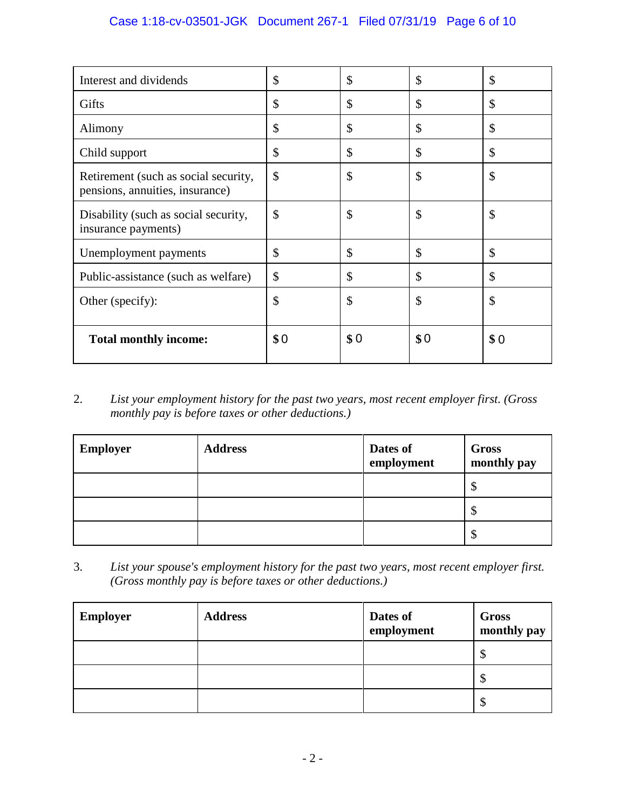### Case 1:18-cv-03501-JGK Document 267-1 Filed 07/31/19 Page 6 of 10

| Interest and dividends                                                  | \$            | \$            | \$  | \$  |
|-------------------------------------------------------------------------|---------------|---------------|-----|-----|
| Gifts                                                                   | \$            | \$            | \$  | \$  |
| Alimony                                                                 | \$            | \$            | \$  | \$  |
| Child support                                                           | \$            | $\mathcal{S}$ | \$  | \$  |
| Retirement (such as social security,<br>pensions, annuities, insurance) | \$            | \$            | \$  | \$  |
| Disability (such as social security,<br>insurance payments)             | \$            | \$            | \$  | \$  |
| Unemployment payments                                                   | \$            | \$            | \$  | \$  |
| Public-assistance (such as welfare)                                     | \$            | \$            | \$  | \$  |
| Other (specify):                                                        | $\mathcal{S}$ | $\mathcal{S}$ | \$  | \$  |
| <b>Total monthly income:</b>                                            | \$0           | \$0           | \$0 | \$0 |

2. *List your employment history for the past two years, most recent employer first. (Gross monthly pay is before taxes or other deductions.)*

| <b>Employer</b> | <b>Address</b> | Dates of<br>employment | Gross<br>monthly pay |
|-----------------|----------------|------------------------|----------------------|
|                 |                |                        | Φ                    |
|                 |                |                        | Φ                    |
|                 |                |                        | Φ                    |

3. *List your spouse's employment history for the past two years, most recent employer first. (Gross monthly pay is before taxes or other deductions.)*

| <b>Employer</b> | <b>Address</b> | Dates of<br>employment | Gross<br>monthly pay |
|-----------------|----------------|------------------------|----------------------|
|                 |                |                        | ∩<br>D               |
|                 |                |                        | ◡                    |
|                 |                |                        | Φ<br>D               |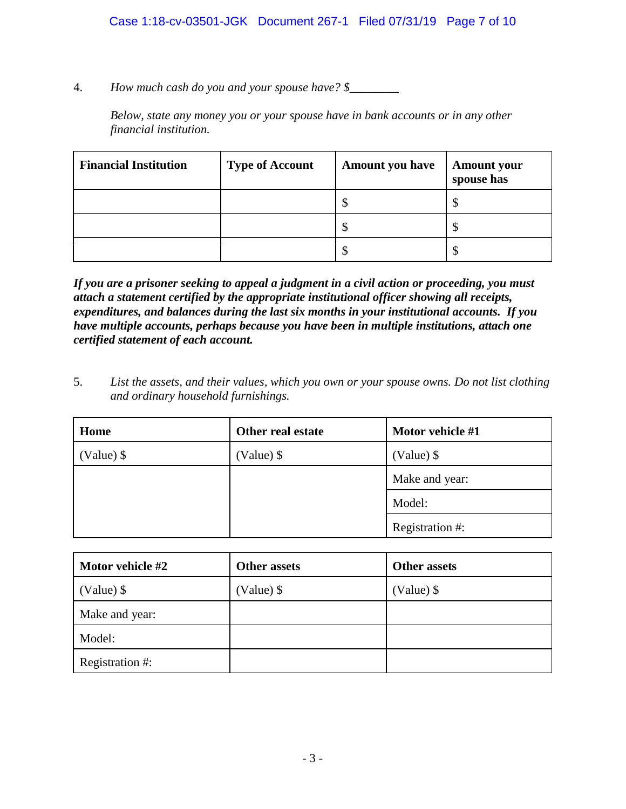4. *How much cash do you and your spouse have? \$\_\_\_\_\_\_\_\_*

*Below, state any money you or your spouse have in bank accounts or in any other financial institution.*

| <b>Financial Institution</b> | <b>Type of Account</b> | <b>Amount you have</b>    | <b>Amount your</b><br>spouse has |
|------------------------------|------------------------|---------------------------|----------------------------------|
|                              |                        | $\boldsymbol{\mathsf{S}}$ |                                  |
|                              |                        | \$                        |                                  |
|                              |                        | \$                        |                                  |

*If you are a prisoner seeking to appeal a judgment in a civil action or proceeding, you must attach a statement certified by the appropriate institutional officer showing all receipts, expenditures, and balances during the last six months in your institutional accounts. If you have multiple accounts, perhaps because you have been in multiple institutions, attach one certified statement of each account.*

5. *List the assets, and their values, which you own or your spouse owns. Do not list clothing and ordinary household furnishings.*

| Home         | Other real estate | Motor vehicle #1 |
|--------------|-------------------|------------------|
| $(Value)$ \$ | $(Value)$ \$      | $(Value)$ \$     |
|              |                   | Make and year:   |
|              |                   | Model:           |
|              |                   | Registration #:  |

| Motor vehicle #2 | <b>Other assets</b> | <b>Other assets</b> |
|------------------|---------------------|---------------------|
| $(Value)$ \$     | (Value) \$          | (Value) \$          |
| Make and year:   |                     |                     |
| Model:           |                     |                     |
| Registration #:  |                     |                     |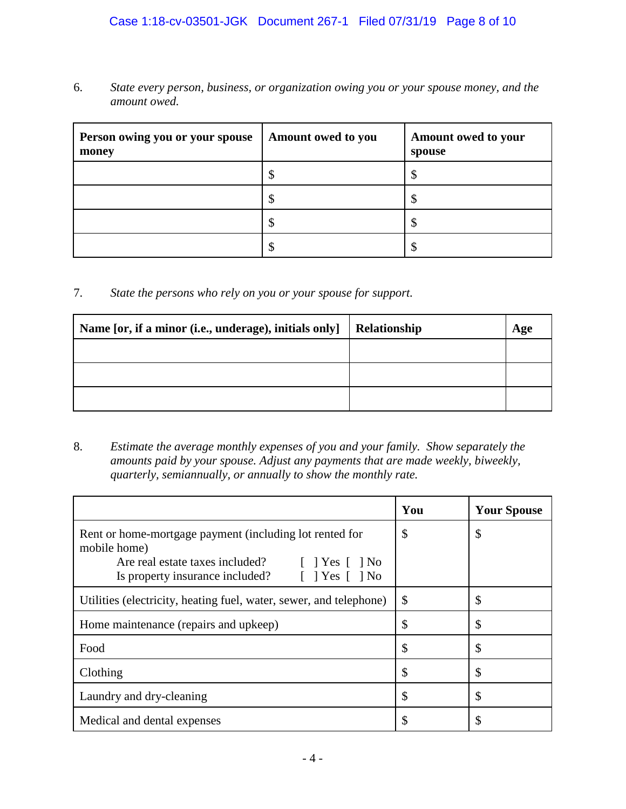### Case 1:18-cv-03501-JGK Document 267-1 Filed 07/31/19 Page 8 of 10

6. *State every person, business, or organization owing you or your spouse money, and the amount owed.*

| Person owing you or your spouse<br>money | Amount owed to you | Amount owed to your<br>spouse |
|------------------------------------------|--------------------|-------------------------------|
|                                          |                    |                               |
|                                          | ۸D                 |                               |
|                                          | ۸D                 |                               |
|                                          |                    |                               |

7. *State the persons who rely on you or your spouse for support.*

| Name [or, if a minor (i.e., underage), initials only] | Relationship | Age |
|-------------------------------------------------------|--------------|-----|
|                                                       |              |     |
|                                                       |              |     |
|                                                       |              |     |

8. *Estimate the average monthly expenses of you and your family. Show separately the amounts paid by your spouse. Adjust any payments that are made weekly, biweekly, quarterly, semiannually, or annually to show the monthly rate.*

|                                                                                                                                                                                                 | You | <b>Your Spouse</b> |
|-------------------------------------------------------------------------------------------------------------------------------------------------------------------------------------------------|-----|--------------------|
| Rent or home-mortgage payment (including lot rented for<br>mobile home)<br>N <sub>o</sub><br>Yes<br>Are real estate taxes included?<br>Is property insurance included?<br>Yes<br>N <sub>0</sub> | \$  | \$                 |
| Utilities (electricity, heating fuel, water, sewer, and telephone)                                                                                                                              | \$  | \$                 |
| Home maintenance (repairs and upkeep)                                                                                                                                                           | \$  | \$                 |
| Food                                                                                                                                                                                            | \$  | \$                 |
| Clothing                                                                                                                                                                                        | \$  | \$                 |
| Laundry and dry-cleaning                                                                                                                                                                        | \$  | \$                 |
| Medical and dental expenses                                                                                                                                                                     | \$  | S                  |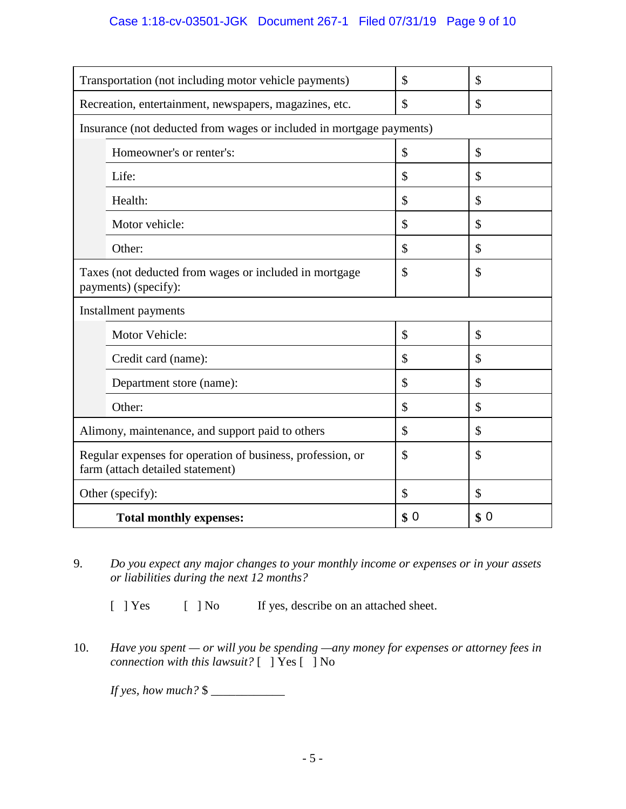### Case 1:18-cv-03501-JGK Document 267-1 Filed 07/31/19 Page 9 of 10

| Transportation (not including motor vehicle payments)                                          | \$  | \$  |
|------------------------------------------------------------------------------------------------|-----|-----|
| Recreation, entertainment, newspapers, magazines, etc.                                         | \$  | \$  |
| Insurance (not deducted from wages or included in mortgage payments)                           |     |     |
| Homeowner's or renter's:                                                                       | \$  | \$  |
| Life:                                                                                          | \$  | \$  |
| Health:                                                                                        | \$  | \$  |
| Motor vehicle:                                                                                 | \$  | \$  |
| Other:                                                                                         | \$  | \$  |
| Taxes (not deducted from wages or included in mortgage<br>payments) (specify):                 | \$  | \$  |
| Installment payments                                                                           |     |     |
| Motor Vehicle:                                                                                 | \$  | \$  |
| Credit card (name):                                                                            | \$  | \$  |
| Department store (name):                                                                       | \$  | \$  |
| Other:                                                                                         | \$  | \$  |
| Alimony, maintenance, and support paid to others                                               | \$  | \$  |
| Regular expenses for operation of business, profession, or<br>farm (attach detailed statement) | \$  | \$  |
| Other (specify):                                                                               | \$  | \$  |
| <b>Total monthly expenses:</b>                                                                 | \$0 | \$0 |

9. *Do you expect any major changes to your monthly income or expenses or in your assets or liabilities during the next 12 months?*

 $\begin{array}{ccc} \n\text{Yes} & | & |\n\text{No} & \text{If yes, describe on an attached sheet.}\n\end{array}$ 

10. *Have you spent — or will you be spending —any money for expenses or attorney fees in connection with this lawsuit?* [ ] Yes [ ] No

*If yes, how much?* \$